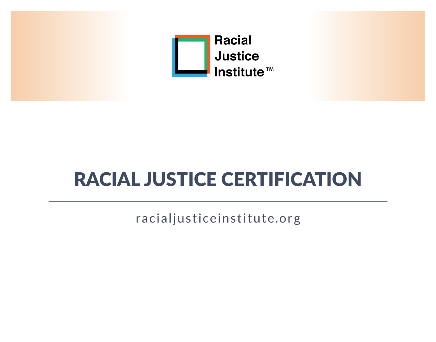

# RACIAL JUSTICE CERTIFICATION

racialjusticeinstitute.org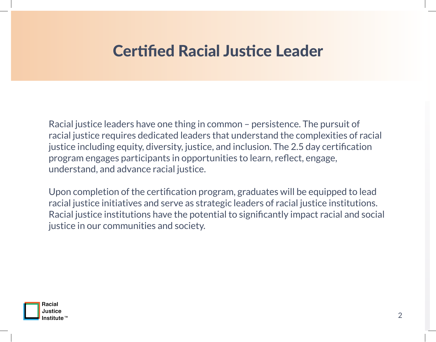# Certified Racial Justice Leader

Racial justice leaders have one thing in common – persistence. The pursuit of racial justice requires dedicated leaders that understand the complexities of racial justice including equity, diversity, justice, and inclusion. The 2.5 day certification program engages participants in opportunities to learn, reflect, engage, understand, and advance racial justice.

Upon completion of the certification program, graduates will be equipped to lead racial justice initiatives and serve as strategic leaders of racial justice institutions. Racial justice institutions have the potential to significantly impact racial and social justice in our communities and society.

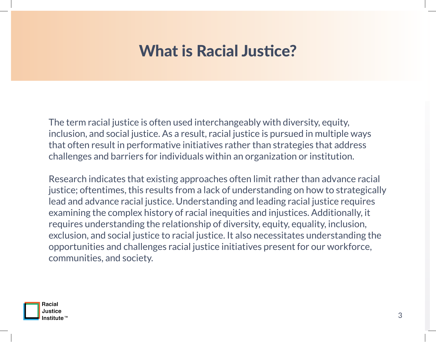# What is Racial Justice?

The term racial justice is often used interchangeably with diversity, equity, inclusion, and social justice. As a result, racial justice is pursued in multiple ways that often result in performative initiatives rather than strategies that address challenges and barriers for individuals within an organization or institution.

Research indicates that existing approaches often limit rather than advance racial justice; oftentimes, this results from a lack of understanding on how to strategically lead and advance racial justice. Understanding and leading racial justice requires examining the complex history of racial inequities and injustices. Additionally, it requires understanding the relationship of diversity, equity, equality, inclusion, exclusion, and social justice to racial justice. It also necessitates understanding the opportunities and challenges racial justice initiatives present for our workforce, communities, and society.

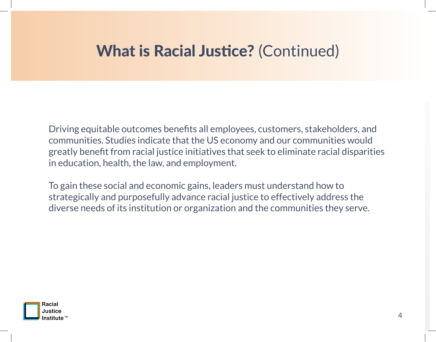# What is Racial Justice? (Continued)

Driving equitable outcomes benefits all employees, customers, stakeholders, and communities. Studies indicate that the US economy and our communities would greatly benefit from racial justice initiatives that seek to eliminate racial disparities in education, health, the law, and employment.

To gain these social and economic gains, leaders must understand how to strategically and purposefully advance racial justice to effectively address the diverse needs of its institution or organization and the communities they serve.

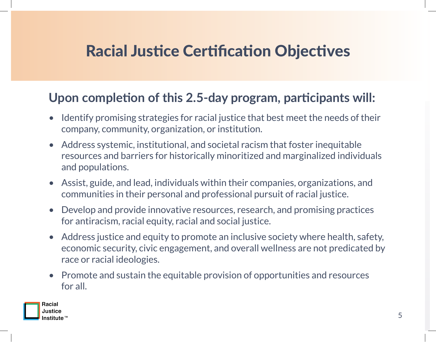# Racial Justice Certification Objectives

#### **Upon completion of this 2.5-day program, participants will:**

- Identify promising strategies for racial justice that best meet the needs of their company, community, organization, or institution.
- Address systemic, institutional, and societal racism that foster inequitable resources and barriers for historically minoritized and marginalized individuals and populations.
- Assist, guide, and lead, individuals within their companies, organizations, and communities in their personal and professional pursuit of racial justice.
- Develop and provide innovative resources, research, and promising practices for antiracism, racial equity, racial and social justice.
- Address justice and equity to promote an inclusive society where health, safety, economic security, civic engagement, and overall wellness are not predicated by race or racial ideologies.
- Promote and sustain the equitable provision of opportunities and resources for all.

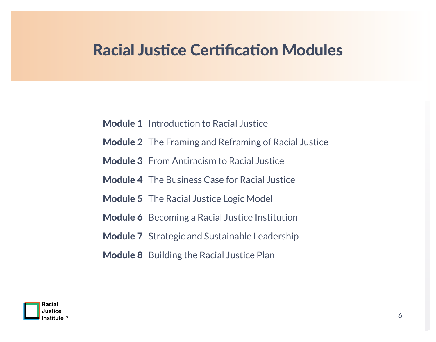# Racial Justice Certification Modules

- Module 1 Introduction to Racial Justice
- Module 2 The Framing and Reframing of Racial Justice
- Module 3 From Antiracism to Racial Justice
- Module 4 The Business Case for Racial Justice
- Module 5 The Racial Justice Logic Model
- Module 6 Becoming a Racial Justice Institution
- Module 7 Strategic and Sustainable Leadership
- Module 8 Building the Racial Justice Plan